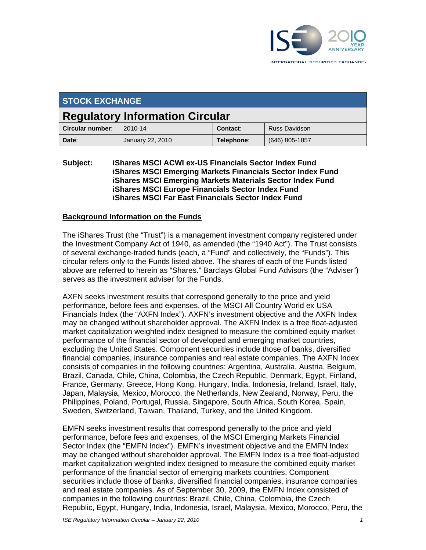

| <b>STOCK EXCHANGE</b>                  |                  |            |                |  |
|----------------------------------------|------------------|------------|----------------|--|
| <b>Regulatory Information Circular</b> |                  |            |                |  |
| Circular number:                       | 2010-14          | Contact:   | Russ Davidson  |  |
| Date:                                  | January 22, 2010 | Telephone: | (646) 805-1857 |  |

**Subject: iShares MSCI ACWI ex-US Financials Sector Index Fund iShares MSCI Emerging Markets Financials Sector Index Fund iShares MSCI Emerging Markets Materials Sector Index Fund iShares MSCI Europe Financials Sector Index Fund iShares MSCI Far East Financials Sector Index Fund**

#### **Background Information on the Funds**

The iShares Trust (the "Trust") is a management investment company registered under the Investment Company Act of 1940, as amended (the "1940 Act"). The Trust consists of several exchange-traded funds (each, a "Fund" and collectively, the "Funds"). This circular refers only to the Funds listed above. The shares of each of the Funds listed above are referred to herein as "Shares." Barclays Global Fund Advisors (the "Adviser") serves as the investment adviser for the Funds.

AXFN seeks investment results that correspond generally to the price and yield performance, before fees and expenses, of the MSCI All Country World ex USA Financials Index (the "AXFN Index"). AXFN's investment objective and the AXFN Index may be changed without shareholder approval. The AXFN Index is a free float-adjusted market capitalization weighted index designed to measure the combined equity market performance of the financial sector of developed and emerging market countries, excluding the United States. Component securities include those of banks, diversified financial companies, insurance companies and real estate companies. The AXFN Index consists of companies in the following countries: Argentina, Australia, Austria, Belgium, Brazil, Canada, Chile, China, Colombia, the Czech Republic, Denmark, Egypt, Finland, France, Germany, Greece, Hong Kong, Hungary, India, Indonesia, Ireland, Israel, Italy, Japan, Malaysia, Mexico, Morocco, the Netherlands, New Zealand, Norway, Peru, the Philippines, Poland, Portugal, Russia, Singapore, South Africa, South Korea, Spain, Sweden, Switzerland, Taiwan, Thailand, Turkey, and the United Kingdom.

EMFN seeks investment results that correspond generally to the price and yield performance, before fees and expenses, of the MSCI Emerging Markets Financial Sector Index (the "EMFN Index"). EMFN's investment objective and the EMFN Index may be changed without shareholder approval. The EMFN Index is a free float-adjusted market capitalization weighted index designed to measure the combined equity market performance of the financial sector of emerging markets countries. Component securities include those of banks, diversified financial companies, insurance companies and real estate companies. As of September 30, 2009, the EMFN Index consisted of companies in the following countries: Brazil, Chile, China, Colombia, the Czech Republic, Egypt, Hungary, India, Indonesia, Israel, Malaysia, Mexico, Morocco, Peru, the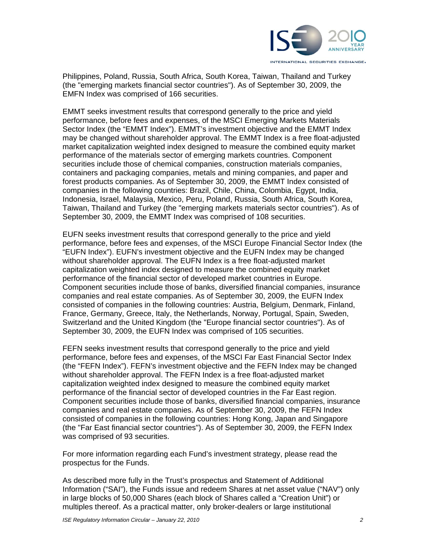

Philippines, Poland, Russia, South Africa, South Korea, Taiwan, Thailand and Turkey (the "emerging markets financial sector countries"). As of September 30, 2009, the EMFN Index was comprised of 166 securities.

EMMT seeks investment results that correspond generally to the price and yield performance, before fees and expenses, of the MSCI Emerging Markets Materials Sector Index (the "EMMT Index"). EMMT's investment objective and the EMMT Index may be changed without shareholder approval. The EMMT Index is a free float-adjusted market capitalization weighted index designed to measure the combined equity market performance of the materials sector of emerging markets countries. Component securities include those of chemical companies, construction materials companies, containers and packaging companies, metals and mining companies, and paper and forest products companies. As of September 30, 2009, the EMMT Index consisted of companies in the following countries: Brazil, Chile, China, Colombia, Egypt, India, Indonesia, Israel, Malaysia, Mexico, Peru, Poland, Russia, South Africa, South Korea, Taiwan, Thailand and Turkey (the "emerging markets materials sector countries"). As of September 30, 2009, the EMMT Index was comprised of 108 securities.

EUFN seeks investment results that correspond generally to the price and yield performance, before fees and expenses, of the MSCI Europe Financial Sector Index (the "EUFN Index"). EUFN's investment objective and the EUFN Index may be changed without shareholder approval. The EUFN Index is a free float-adjusted market capitalization weighted index designed to measure the combined equity market performance of the financial sector of developed market countries in Europe. Component securities include those of banks, diversified financial companies, insurance companies and real estate companies. As of September 30, 2009, the EUFN Index consisted of companies in the following countries: Austria, Belgium, Denmark, Finland, France, Germany, Greece, Italy, the Netherlands, Norway, Portugal, Spain, Sweden, Switzerland and the United Kingdom (the "Europe financial sector countries"). As of September 30, 2009, the EUFN Index was comprised of 105 securities.

FEFN seeks investment results that correspond generally to the price and yield performance, before fees and expenses, of the MSCI Far East Financial Sector Index (the "FEFN Index"). FEFN's investment objective and the FEFN Index may be changed without shareholder approval. The FEFN Index is a free float-adjusted market capitalization weighted index designed to measure the combined equity market performance of the financial sector of developed countries in the Far East region. Component securities include those of banks, diversified financial companies, insurance companies and real estate companies. As of September 30, 2009, the FEFN Index consisted of companies in the following countries: Hong Kong, Japan and Singapore (the "Far East financial sector countries"). As of September 30, 2009, the FEFN Index was comprised of 93 securities.

For more information regarding each Fund's investment strategy, please read the prospectus for the Funds.

As described more fully in the Trust's prospectus and Statement of Additional Information ("SAI"), the Funds issue and redeem Shares at net asset value ("NAV") only in large blocks of 50,000 Shares (each block of Shares called a "Creation Unit") or multiples thereof. As a practical matter, only broker-dealers or large institutional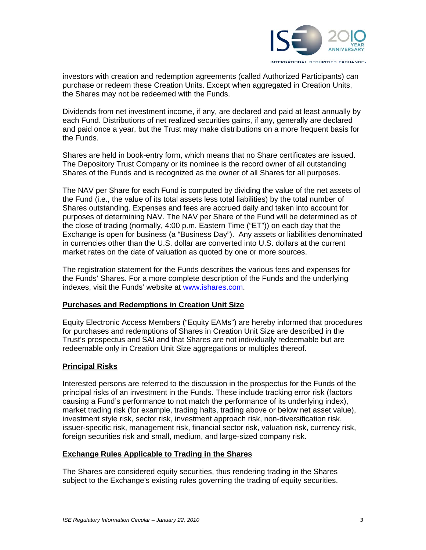

investors with creation and redemption agreements (called Authorized Participants) can purchase or redeem these Creation Units. Except when aggregated in Creation Units, the Shares may not be redeemed with the Funds.

Dividends from net investment income, if any, are declared and paid at least annually by each Fund. Distributions of net realized securities gains, if any, generally are declared and paid once a year, but the Trust may make distributions on a more frequent basis for the Funds.

Shares are held in book-entry form, which means that no Share certificates are issued. The Depository Trust Company or its nominee is the record owner of all outstanding Shares of the Funds and is recognized as the owner of all Shares for all purposes.

The NAV per Share for each Fund is computed by dividing the value of the net assets of the Fund (i.e., the value of its total assets less total liabilities) by the total number of Shares outstanding. Expenses and fees are accrued daily and taken into account for purposes of determining NAV. The NAV per Share of the Fund will be determined as of the close of trading (normally, 4:00 p.m. Eastern Time ("ET")) on each day that the Exchange is open for business (a "Business Day"). Any assets or liabilities denominated in currencies other than the U.S. dollar are converted into U.S. dollars at the current market rates on the date of valuation as quoted by one or more sources.

The registration statement for the Funds describes the various fees and expenses for the Funds' Shares. For a more complete description of the Funds and the underlying indexes, visit the Funds' website at www.ishares.com.

#### **Purchases and Redemptions in Creation Unit Size**

Equity Electronic Access Members ("Equity EAMs") are hereby informed that procedures for purchases and redemptions of Shares in Creation Unit Size are described in the Trust's prospectus and SAI and that Shares are not individually redeemable but are redeemable only in Creation Unit Size aggregations or multiples thereof.

## **Principal Risks**

Interested persons are referred to the discussion in the prospectus for the Funds of the principal risks of an investment in the Funds. These include tracking error risk (factors causing a Fund's performance to not match the performance of its underlying index), market trading risk (for example, trading halts, trading above or below net asset value), investment style risk, sector risk, investment approach risk, non-diversification risk, issuer-specific risk, management risk, financial sector risk, valuation risk, currency risk, foreign securities risk and small, medium, and large-sized company risk.

#### **Exchange Rules Applicable to Trading in the Shares**

The Shares are considered equity securities, thus rendering trading in the Shares subject to the Exchange's existing rules governing the trading of equity securities.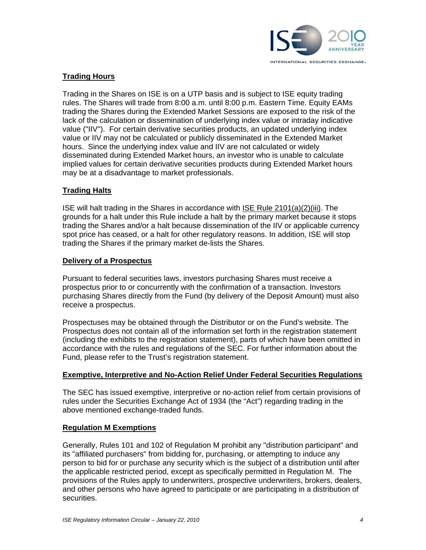

## **Trading Hours**

Trading in the Shares on ISE is on a UTP basis and is subject to ISE equity trading rules. The Shares will trade from 8:00 a.m. until 8:00 p.m. Eastern Time. Equity EAMs trading the Shares during the Extended Market Sessions are exposed to the risk of the lack of the calculation or dissemination of underlying index value or intraday indicative value ("IIV"). For certain derivative securities products, an updated underlying index value or IIV may not be calculated or publicly disseminated in the Extended Market hours. Since the underlying index value and IIV are not calculated or widely disseminated during Extended Market hours, an investor who is unable to calculate implied values for certain derivative securities products during Extended Market hours may be at a disadvantage to market professionals.

## **Trading Halts**

ISE will halt trading in the Shares in accordance with ISE Rule 2101(a)(2)(iii). The grounds for a halt under this Rule include a halt by the primary market because it stops trading the Shares and/or a halt because dissemination of the IIV or applicable currency spot price has ceased, or a halt for other regulatory reasons. In addition, ISE will stop trading the Shares if the primary market de-lists the Shares.

#### **Delivery of a Prospectus**

Pursuant to federal securities laws, investors purchasing Shares must receive a prospectus prior to or concurrently with the confirmation of a transaction. Investors purchasing Shares directly from the Fund (by delivery of the Deposit Amount) must also receive a prospectus.

Prospectuses may be obtained through the Distributor or on the Fund's website. The Prospectus does not contain all of the information set forth in the registration statement (including the exhibits to the registration statement), parts of which have been omitted in accordance with the rules and regulations of the SEC. For further information about the Fund, please refer to the Trust's registration statement.

# **Exemptive, Interpretive and No-Action Relief Under Federal Securities Regulations**

The SEC has issued exemptive, interpretive or no-action relief from certain provisions of rules under the Securities Exchange Act of 1934 (the "Act") regarding trading in the above mentioned exchange-traded funds.

## **Regulation M Exemptions**

Generally, Rules 101 and 102 of Regulation M prohibit any "distribution participant" and its "affiliated purchasers" from bidding for, purchasing, or attempting to induce any person to bid for or purchase any security which is the subject of a distribution until after the applicable restricted period, except as specifically permitted in Regulation M. The provisions of the Rules apply to underwriters, prospective underwriters, brokers, dealers, and other persons who have agreed to participate or are participating in a distribution of securities.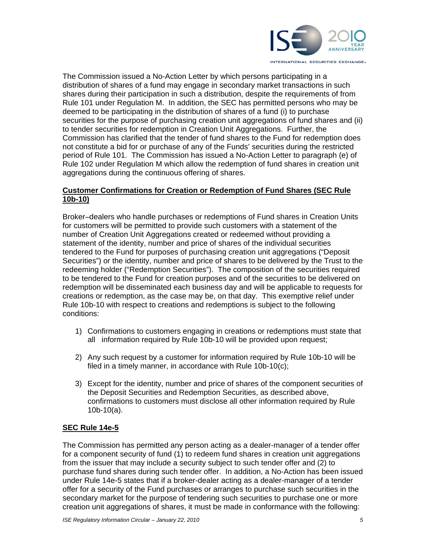

The Commission issued a No-Action Letter by which persons participating in a distribution of shares of a fund may engage in secondary market transactions in such shares during their participation in such a distribution, despite the requirements of from Rule 101 under Regulation M. In addition, the SEC has permitted persons who may be deemed to be participating in the distribution of shares of a fund (i) to purchase securities for the purpose of purchasing creation unit aggregations of fund shares and (ii) to tender securities for redemption in Creation Unit Aggregations. Further, the Commission has clarified that the tender of fund shares to the Fund for redemption does not constitute a bid for or purchase of any of the Funds' securities during the restricted period of Rule 101. The Commission has issued a No-Action Letter to paragraph (e) of Rule 102 under Regulation M which allow the redemption of fund shares in creation unit aggregations during the continuous offering of shares.

## **Customer Confirmations for Creation or Redemption of Fund Shares (SEC Rule 10b-10)**

Broker–dealers who handle purchases or redemptions of Fund shares in Creation Units for customers will be permitted to provide such customers with a statement of the number of Creation Unit Aggregations created or redeemed without providing a statement of the identity, number and price of shares of the individual securities tendered to the Fund for purposes of purchasing creation unit aggregations ("Deposit Securities") or the identity, number and price of shares to be delivered by the Trust to the redeeming holder ("Redemption Securities"). The composition of the securities required to be tendered to the Fund for creation purposes and of the securities to be delivered on redemption will be disseminated each business day and will be applicable to requests for creations or redemption, as the case may be, on that day. This exemptive relief under Rule 10b-10 with respect to creations and redemptions is subject to the following conditions:

- 1) Confirmations to customers engaging in creations or redemptions must state that all information required by Rule 10b-10 will be provided upon request;
- 2) Any such request by a customer for information required by Rule 10b-10 will be filed in a timely manner, in accordance with Rule 10b-10(c);
- 3) Except for the identity, number and price of shares of the component securities of the Deposit Securities and Redemption Securities, as described above, confirmations to customers must disclose all other information required by Rule 10b-10(a).

# **SEC Rule 14e-5**

The Commission has permitted any person acting as a dealer-manager of a tender offer for a component security of fund (1) to redeem fund shares in creation unit aggregations from the issuer that may include a security subject to such tender offer and (2) to purchase fund shares during such tender offer. In addition, a No-Action has been issued under Rule 14e-5 states that if a broker-dealer acting as a dealer-manager of a tender offer for a security of the Fund purchases or arranges to purchase such securities in the secondary market for the purpose of tendering such securities to purchase one or more creation unit aggregations of shares, it must be made in conformance with the following: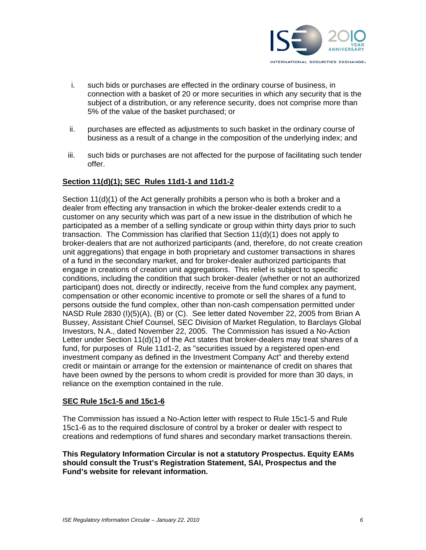

- i. such bids or purchases are effected in the ordinary course of business, in connection with a basket of 20 or more securities in which any security that is the subject of a distribution, or any reference security, does not comprise more than 5% of the value of the basket purchased; or
- ii. purchases are effected as adjustments to such basket in the ordinary course of business as a result of a change in the composition of the underlying index; and
- iii. such bids or purchases are not affected for the purpose of facilitating such tender offer.

## **Section 11(d)(1); SEC Rules 11d1-1 and 11d1-2**

Section 11(d)(1) of the Act generally prohibits a person who is both a broker and a dealer from effecting any transaction in which the broker-dealer extends credit to a customer on any security which was part of a new issue in the distribution of which he participated as a member of a selling syndicate or group within thirty days prior to such transaction. The Commission has clarified that Section 11(d)(1) does not apply to broker-dealers that are not authorized participants (and, therefore, do not create creation unit aggregations) that engage in both proprietary and customer transactions in shares of a fund in the secondary market, and for broker-dealer authorized participants that engage in creations of creation unit aggregations. This relief is subject to specific conditions, including the condition that such broker-dealer (whether or not an authorized participant) does not, directly or indirectly, receive from the fund complex any payment, compensation or other economic incentive to promote or sell the shares of a fund to persons outside the fund complex, other than non-cash compensation permitted under NASD Rule 2830 (I)(5)(A), (B) or (C). See letter dated November 22, 2005 from Brian A Bussey, Assistant Chief Counsel, SEC Division of Market Regulation, to Barclays Global Investors, N.A., dated November 22, 2005. The Commission has issued a No-Action Letter under Section 11(d)(1) of the Act states that broker-dealers may treat shares of a fund, for purposes of Rule 11d1-2, as "securities issued by a registered open-end investment company as defined in the Investment Company Act" and thereby extend credit or maintain or arrange for the extension or maintenance of credit on shares that have been owned by the persons to whom credit is provided for more than 30 days, in reliance on the exemption contained in the rule.

## **SEC Rule 15c1-5 and 15c1-6**

The Commission has issued a No-Action letter with respect to Rule 15c1-5 and Rule 15c1-6 as to the required disclosure of control by a broker or dealer with respect to creations and redemptions of fund shares and secondary market transactions therein.

**This Regulatory Information Circular is not a statutory Prospectus. Equity EAMs should consult the Trust's Registration Statement, SAI, Prospectus and the Fund's website for relevant information.**